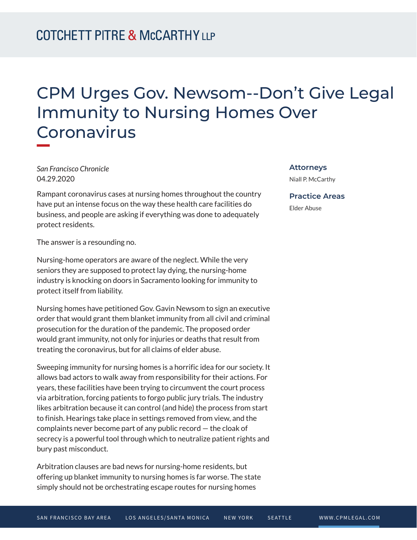# CPM Urges Gov. Newsom--Don't Give Legal Immunity to Nursing Homes Over Coronavirus

*San Francisco Chronicle* 04.29.2020

Rampant coronavirus cases at nursing homes throughout the country have put an intense focus on the way these health care facilities do business, and people are asking if everything was done to adequately protect residents.

The answer is a resounding no.

Nursing-home operators are aware of the neglect. While the very seniors they are supposed to protect lay dying, the nursing-home industry is knocking on doors in Sacramento looking for immunity to protect itself from liability.

Nursing homes have petitioned Gov. Gavin Newsom to sign an executive order that would grant them blanket immunity from all civil and criminal prosecution for the duration of the pandemic. The proposed order would grant immunity, not only for injuries or deaths that result from treating the coronavirus, but for all claims of elder abuse.

Sweeping immunity for nursing homes is a horrific idea for our society. It allows bad actors to walk away from responsibility for their actions. For years, these facilities have been trying to circumvent the court process via arbitration, forcing patients to forgo public jury trials. The industry likes arbitration because it can control (and hide) the process from start to finish. Hearings take place in settings removed from view, and the complaints never become part of any public record — the cloak of secrecy is a powerful tool through which to neutralize patient rights and bury past misconduct.

Arbitration clauses are bad news for nursing-home residents, but offering up blanket immunity to nursing homes is far worse. The state simply should not be orchestrating escape routes for nursing homes

#### **Attorneys**

Niall P. McCarthy

#### **Practice Areas**

Elder Abuse